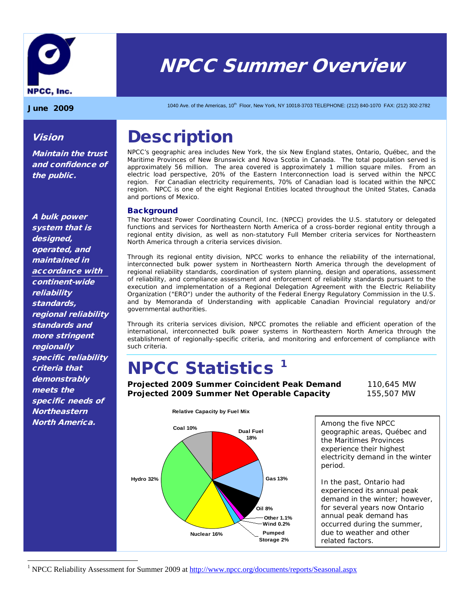

# NPCC Summer Overview

Vision

the public.

Maintain the trust and confidence of

 $J$ une 2009 1040 Ave. of the Americas, 10<sup>th</sup> Floor, New York, NY 10018-3703 TELEPHONE: (212) 840-1070 FAX: (212) 302-2782

### **Description**

NPCC's geographic area includes New York, the six New England states, Ontario, Québec, and the Maritime Provinces of New Brunswick and Nova Scotia in Canada. The total population served is approximately 56 million. The area covered is approximately 1 million square miles. From an electric load perspective, 20% of the Eastern Interconnection load is served within the NPCC region. For Canadian electricity requirements, 70% of Canadian load is located within the NPCC region. NPCC is one of the eight Regional Entities located throughout the United States, Canada and portions of Mexico.

#### **Background**

The Northeast Power Coordinating Council, Inc. (NPCC) provides the U.S. statutory or delegated functions and services for Northeastern North America of a cross-border regional entity through a regional entity division, as well as non-statutory Full Member criteria services for Northeastern North America through a criteria services division.

Through its regional entity division, NPCC works to enhance the reliability of the international, interconnected bulk power system in Northeastern North America through the development of regional reliability standards, coordination of system planning, design and operations, assessment of reliability, and compliance assessment and enforcement of reliability standards pursuant to the execution and implementation of a Regional Delegation Agreement with the Electric Reliability Organization ("ERO") under the authority of the Federal Energy Regulatory Commission in the U.S. and by Memoranda of Understanding with applicable Canadian Provincial regulatory and/or governmental authorities.

Through its criteria services division, NPCC promotes the reliable and efficient operation of the international, interconnected bulk power systems in Northeastern North America through the establishment of regionally-specific criteria, and monitoring and enforcement of compliance with such criteria.

### **NPCC Statistics<sup>[1](#page-0-0)</sup>**

**Projected 2009 Summer Coincident Peak Demand** 110,645 MW **Projected 2009 Summer Net Operable Capacity** 155,507 MW



Among the five NPCC geographic areas, Québec and the Maritimes Provinces experience their highest electricity demand in the winter period.

In the past, Ontario had experienced its annual peak demand in the winter; however, for several years now Ontario annual peak demand has occurred during the summer, due to weather and other related factors.

<span id="page-0-0"></span><sup>1</sup> NPCC Reliability Assessment for Summer 2009 a[t http://www.npcc.org/documents/reports/Seasonal.aspx](http://www.npcc.org/documents/reports/Seasonal.aspx)

A bulk power system that is designed, operated, and maintained in accordance with continent-wide reliability standards, regional reliability standards and more stringent **regionally** specific reliability criteria that demonstrably meets the specific needs of **Northeastern** North America.